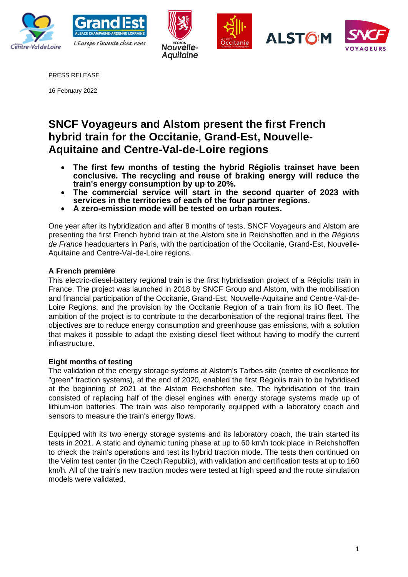









PRESS RELEASE

16 February 2022

# **SNCF Voyageurs and Alstom present the first French hybrid train for the Occitanie, Grand-Est, Nouvelle-Aquitaine and Centre-Val-de-Loire regions**

- **The first few months of testing the hybrid Régiolis trainset have been conclusive. The recycling and reuse of braking energy will reduce the train's energy consumption by up to 20%.**
- **The commercial service will start in the second quarter of 2023 with services in the territories of each of the four partner regions.**
- **A zero-emission mode will be tested on urban routes.**

One year after its hybridization and after 8 months of tests, SNCF Voyageurs and Alstom are presenting the first French hybrid train at the Alstom site in Reichshoffen and in the *Régions de France* headquarters in Paris, with the participation of the Occitanie, Grand-Est, Nouvelle-Aquitaine and Centre-Val-de-Loire regions.

# **A French première**

This electric-diesel-battery regional train is the first hybridisation project of a Régiolis train in France. The project was launched in 2018 by SNCF Group and Alstom, with the mobilisation and financial participation of the Occitanie, Grand-Est, Nouvelle-Aquitaine and Centre-Val-de-Loire Regions, and the provision by the Occitanie Region of a train from its liO fleet. The ambition of the project is to contribute to the decarbonisation of the regional trains fleet. The objectives are to reduce energy consumption and greenhouse gas emissions, with a solution that makes it possible to adapt the existing diesel fleet without having to modify the current infrastructure.

## **Eight months of testing**

The validation of the energy storage systems at Alstom's Tarbes site (centre of excellence for "green" traction systems), at the end of 2020, enabled the first Régiolis train to be hybridised at the beginning of 2021 at the Alstom Reichshoffen site. The hybridisation of the train consisted of replacing half of the diesel engines with energy storage systems made up of lithium-ion batteries. The train was also temporarily equipped with a laboratory coach and sensors to measure the train's energy flows.

Equipped with its two energy storage systems and its laboratory coach, the train started its tests in 2021. A static and dynamic tuning phase at up to 60 km/h took place in Reichshoffen to check the train's operations and test its hybrid traction mode. The tests then continued on the Velim test center (in the Czech Republic), with validation and certification tests at up to 160 km/h. All of the train's new traction modes were tested at high speed and the route simulation models were validated.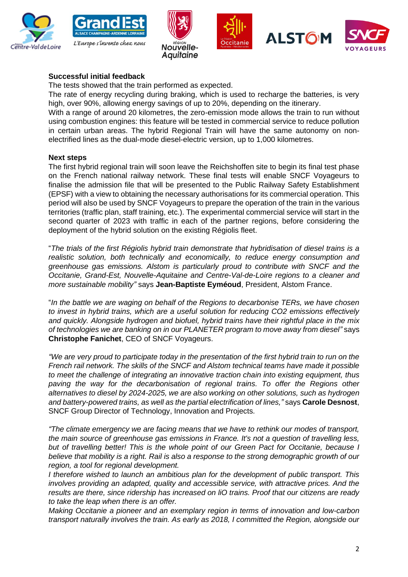









# **Successful initial feedback**

The tests showed that the train performed as expected.

The rate of energy recycling during braking, which is used to recharge the batteries, is very high, over 90%, allowing energy savings of up to 20%, depending on the itinerary.

With a range of around 20 kilometres, the zero-emission mode allows the train to run without using combustion engines: this feature will be tested in commercial service to reduce pollution in certain urban areas. The hybrid Regional Train will have the same autonomy on nonelectrified lines as the dual-mode diesel-electric version, up to 1,000 kilometres.

## **Next steps**

The first hybrid regional train will soon leave the Reichshoffen site to begin its final test phase on the French national railway network. These final tests will enable SNCF Voyageurs to finalise the admission file that will be presented to the Public Railway Safety Establishment (EPSF) with a view to obtaining the necessary authorisations for its commercial operation. This period will also be used by SNCF Voyageurs to prepare the operation of the train in the various territories (traffic plan, staff training, etc.). The experimental commercial service will start in the second quarter of 2023 with traffic in each of the partner regions, before considering the deployment of the hybrid solution on the existing Régiolis fleet.

"*The trials of the first Régiolis hybrid train demonstrate that hybridisation of diesel trains is a realistic solution, both technically and economically, to reduce energy consumption and greenhouse gas emissions. Alstom is particularly proud to contribute with SNCF and the Occitanie, Grand-Est, Nouvelle-Aquitaine and Centre-Val-de-Loire regions to a cleaner and more sustainable mobility"* says **Jean-Baptiste Eyméoud**, President, Alstom France.

"*In the battle we are waging on behalf of the Regions to decarbonise TERs, we have chosen to invest in hybrid trains, which are a useful solution for reducing CO2 emissions effectively and quickly. Alongside hydrogen and biofuel, hybrid trains have their rightful place in the mix of technologies we are banking on in our PLANETER program to move away from diesel"* says **Christophe Fanichet**, CEO of SNCF Voyageurs.

*"We are very proud to participate today in the presentation of the first hybrid train to run on the French rail network. The skills of the SNCF and Alstom technical teams have made it possible to meet the challenge of integrating an innovative traction chain into existing equipment, thus*  paving the way for the decarbonisation of regional trains. To offer the Regions other *alternatives to diesel by 2024-2025, we are also working on other solutions, such as hydrogen and battery-powered trains, as well as the partial electrification of lines,"* says **Carole Desnost**, SNCF Group Director of Technology, Innovation and Projects.

*"The climate emergency we are facing means that we have to rethink our modes of transport, the main source of greenhouse gas emissions in France. It's not a question of travelling less,*  but of travelling better! This is the whole point of our Green Pact for Occitanie, because I *believe that mobility is a right. Rail is also a response to the strong demographic growth of our region, a tool for regional development.*

*I therefore wished to launch an ambitious plan for the development of public transport. This involves providing an adapted, quality and accessible service, with attractive prices. And the results are there, since ridership has increased on liO trains. Proof that our citizens are ready to take the leap when there is an offer.*

*Making Occitanie a pioneer and an exemplary region in terms of innovation and low-carbon transport naturally involves the train. As early as 2018, I committed the Region, alongside our*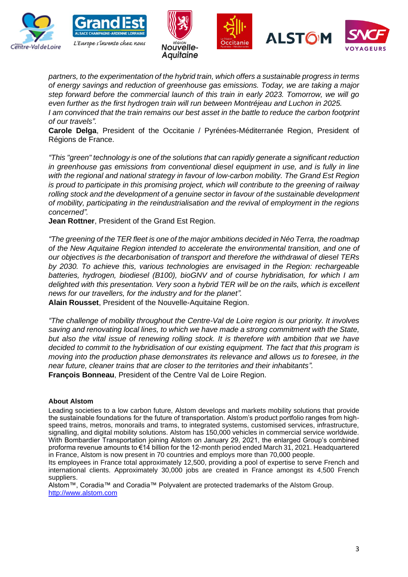









*partners, to the experimentation of the hybrid train, which offers a sustainable progress in terms of energy savings and reduction of greenhouse gas emissions. Today, we are taking a major step forward before the commercial launch of this train in early 2023. Tomorrow, we will go even further as the first hydrogen train will run between Montréjeau and Luchon in 2025. I* am convinced that the train remains our best asset in the battle to reduce the carbon footprint *of our travels".*

**Carole Delga**, President of the Occitanie / Pyrénées-Méditerranée Region, President of Régions de France.

*"This "green" technology is one of the solutions that can rapidly generate a significant reduction in greenhouse gas emissions from conventional diesel equipment in use, and is fully in line with the regional and national strategy in favour of low-carbon mobility. The Grand Est Region is proud to participate in this promising project, which will contribute to the greening of railway rolling stock and the development of a genuine sector in favour of the sustainable development of mobility, participating in the reindustrialisation and the revival of employment in the regions concerned".*

**Jean Rottner**, President of the Grand Est Region.

*"The greening of the TER fleet is one of the major ambitions decided in Néo Terra, the roadmap of the New Aquitaine Region intended to accelerate the environmental transition, and one of our objectives is the decarbonisation of transport and therefore the withdrawal of diesel TERs by 2030. To achieve this, various technologies are envisaged in the Region: rechargeable batteries, hydrogen, biodiesel (B100), bioGNV and of course hybridisation, for which I am delighted with this presentation. Very soon a hybrid TER will be on the rails, which is excellent news for our travellers, for the industry and for the planet".* 

**Alain Rousset**, President of the Nouvelle-Aquitaine Region.

*"The challenge of mobility throughout the Centre-Val de Loire region is our priority. It involves saving and renovating local lines, to which we have made a strong commitment with the State, but also the vital issue of renewing rolling stock. It is therefore with ambition that we have decided to commit to the hybridisation of our existing equipment. The fact that this program is moving into the production phase demonstrates its relevance and allows us to foresee, in the near future, cleaner trains that are closer to the territories and their inhabitants".* **François Bonneau**, President of the Centre Val de Loire Region.

#### **About Alstom**

Leading societies to a low carbon future, Alstom develops and markets mobility solutions that provide the sustainable foundations for the future of transportation. Alstom's product portfolio ranges from highspeed trains, metros, monorails and trams, to integrated systems, customised services, infrastructure, signalling, and digital mobility solutions. Alstom has 150,000 vehicles in commercial service worldwide. With Bombardier Transportation joining Alstom on January 29, 2021, the enlarged Group's combined proforma revenue amounts to €14 billion for the 12-month period ended March 31, 2021. Headquartered in France, Alstom is now present in 70 countries and employs more than 70,000 people.

Its employees in France total approximately 12,500, providing a pool of expertise to serve French and international clients. Approximately 30,000 jobs are created in France amongst its 4,500 French suppliers.

Alstom™, Coradia™ and Coradia™ Polyvalent are protected trademarks of the Alstom Group. [http://www.alstom.com](http://www.alstom.com/)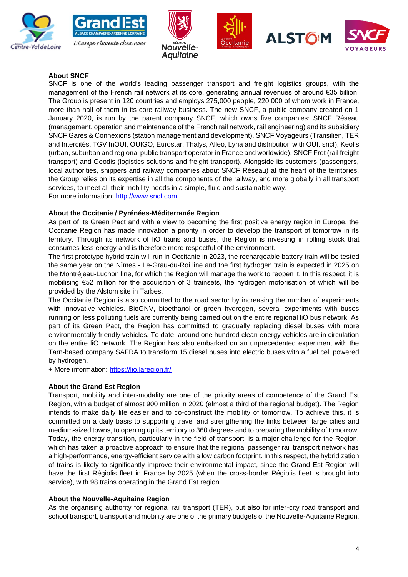









## **About SNCF**

SNCF is one of the world's leading passenger transport and freight logistics groups, with the management of the French rail network at its core, generating annual revenues of around €35 billion. The Group is present in 120 countries and employs 275,000 people, 220,000 of whom work in France, more than half of them in its core railway business. The new SNCF, a public company created on 1 January 2020, is run by the parent company SNCF, which owns five companies: SNCF Réseau (management, operation and maintenance of the French rail network, rail engineering) and its subsidiary SNCF Gares & Connexions (station management and development), SNCF Voyageurs (Transilien, TER and Intercités, TGV InOUI, OUIGO, Eurostar, Thalys, Alleo, Lyria and distribution with OUI. sncf), Keolis (urban, suburban and regional public transport operator in France and worldwide), SNCF Fret (rail freight transport) and Geodis (logistics solutions and freight transport). Alongside its customers (passengers, local authorities, shippers and railway companies about SNCF Réseau) at the heart of the territories, the Group relies on its expertise in all the components of the railway, and more globally in all transport services, to meet all their mobility needs in a simple, fluid and sustainable way.

For more information: [http://www.sncf.com](http://www.sncf.com/)

## **About the Occitanie / Pyrénées-Méditerranée Region**

As part of its Green Pact and with a view to becoming the first positive energy region in Europe, the Occitanie Region has made innovation a priority in order to develop the transport of tomorrow in its territory. Through its network of liO trains and buses, the Region is investing in rolling stock that consumes less energy and is therefore more respectful of the environment.

The first prototype hybrid train will run in Occitanie in 2023, the rechargeable battery train will be tested the same year on the Nîmes - Le-Grau-du-Roi line and the first hydrogen train is expected in 2025 on the Montréjeau-Luchon line, for which the Region will manage the work to reopen it. In this respect, it is mobilising €52 million for the acquisition of 3 trainsets, the hydrogen motorisation of which will be provided by the Alstom site in Tarbes.

The Occitanie Region is also committed to the road sector by increasing the number of experiments with innovative vehicles. BioGNV, bioethanol or green hydrogen, several experiments with buses running on less polluting fuels are currently being carried out on the entire regional liO bus network. As part of its Green Pact, the Region has committed to gradually replacing diesel buses with more environmentally friendly vehicles. To date, around one hundred clean energy vehicles are in circulation on the entire liO network. The Region has also embarked on an unprecedented experiment with the Tarn-based company SAFRA to transform 15 diesel buses into electric buses with a fuel cell powered by hydrogen.

+ More information:<https://lio.laregion.fr/>

#### **About the Grand Est Region**

Transport, mobility and inter-modality are one of the priority areas of competence of the Grand Est Region, with a budget of almost 900 million in 2020 (almost a third of the regional budget). The Region intends to make daily life easier and to co-construct the mobility of tomorrow. To achieve this, it is committed on a daily basis to supporting travel and strengthening the links between large cities and medium-sized towns, to opening up its territory to 360 degrees and to preparing the mobility of tomorrow. Today, the energy transition, particularly in the field of transport, is a major challenge for the Region, which has taken a proactive approach to ensure that the regional passenger rail transport network has a high-performance, energy-efficient service with a low carbon footprint. In this respect, the hybridization of trains is likely to significantly improve their environmental impact, since the Grand Est Region will have the first Régiolis fleet in France by 2025 (when the cross-border Régiolis fleet is brought into service), with 98 trains operating in the Grand Est region.

## **About the Nouvelle-Aquitaine Region**

As the organising authority for regional rail transport (TER), but also for inter-city road transport and school transport, transport and mobility are one of the primary budgets of the Nouvelle-Aquitaine Region.